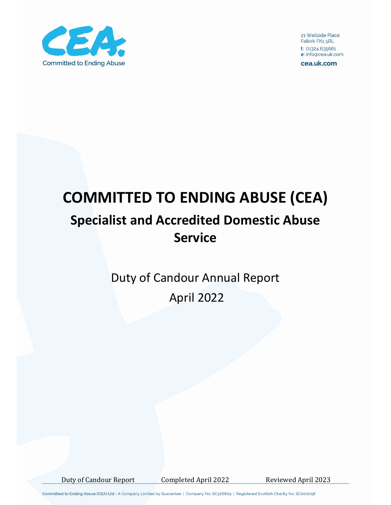

21 Wellside Place Falkirk FK1 5RL t: 01324 635661 e: info@cea.uk.com

cea.uk.com

# **COMMITTED TO ENDING ABUSE (CEA) Specialist and Accredited Domestic Abuse Service**

Duty of Candour Annual Report April 2022

Duty of Candour Report Completed April 2022 Reviewed April 2023

Committed to Ending Abuse (CEA) Ltd - A Company Limited by Guarantee | Company No. SC376809 | Registered Scottish Charity No. SC000058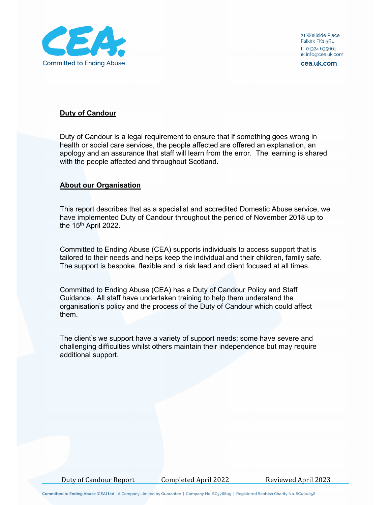

21 Wellside Place Falkirk FK1 5RL t: 01324 635661 e: info@cea.uk.com

cea.uk.com

### **Duty of Candour**

Duty of Candour is a legal requirement to ensure that if something goes wrong in health or social care services, the people affected are offered an explanation, an apology and an assurance that staff will learn from the error. The learning is shared with the people affected and throughout Scotland.

### **About our Organisation**

This report describes that as a specialist and accredited Domestic Abuse service, we have implemented Duty of Candour throughout the period of November 2018 up to the  $15<sup>th</sup>$  April 2022.

Committed to Ending Abuse (CEA) supports individuals to access support that is tailored to their needs and helps keep the individual and their children, family safe. The support is bespoke, flexible and is risk lead and client focused at all times.

Committed to Ending Abuse (CEA) has a Duty of Candour Policy and Staff Guidance. All staff have undertaken training to help them understand the organisation's policy and the process of the Duty of Candour which could affect them.

The client's we support have a variety of support needs; some have severe and challenging difficulties whilst others maintain their independence but may require additional support.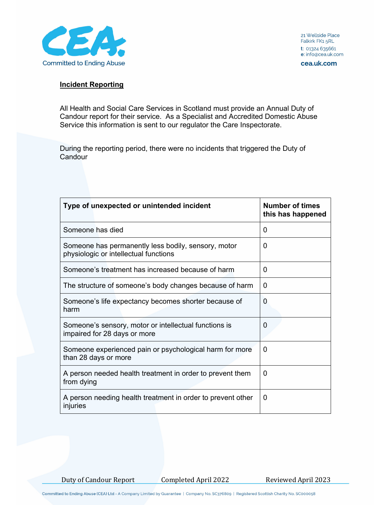

21 Wellside Place Falkirk FK1 5RL t: 01324 635661 e: info@cea.uk.com

cea.uk.com

#### **Incident Reporting**

All Health and Social Care Services in Scotland must provide an Annual Duty of Candour report for their service. As a Specialist and Accredited Domestic Abuse Service this information is sent to our regulator the Care Inspectorate.

During the reporting period, there were no incidents that triggered the Duty of **Candour** 

| Type of unexpected or unintended incident                                                    | <b>Number of times</b><br>this has happened |
|----------------------------------------------------------------------------------------------|---------------------------------------------|
| Someone has died                                                                             | $\Omega$                                    |
| Someone has permanently less bodily, sensory, motor<br>physiologic or intellectual functions | 0                                           |
| Someone's treatment has increased because of harm                                            | 0                                           |
| The structure of someone's body changes because of harm                                      | 0                                           |
| Someone's life expectancy becomes shorter because of<br>harm                                 | 0                                           |
| Someone's sensory, motor or intellectual functions is<br>impaired for 28 days or more        | $\Omega$                                    |
| Someone experienced pain or psychological harm for more<br>than 28 days or more              | 0                                           |
| A person needed health treatment in order to prevent them<br>from dying                      | $\Omega$                                    |
| A person needing health treatment in order to prevent other<br>injuries                      | 0                                           |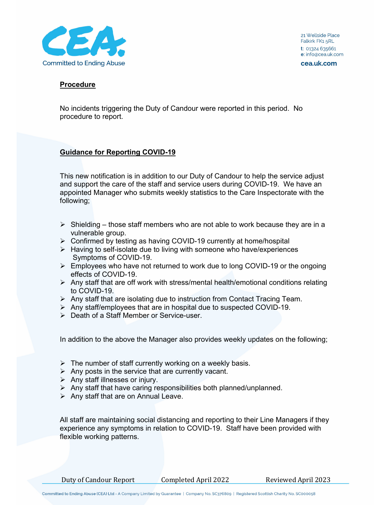

cea.uk.com

### **Procedure**

No incidents triggering the Duty of Candour were reported in this period. No procedure to report.

# **Guidance for Reporting COVID-19**

This new notification is in addition to our Duty of Candour to help the service adjust and support the care of the staff and service users during COVID-19. We have an appointed Manager who submits weekly statistics to the Care Inspectorate with the following;

- $\triangleright$  Shielding those staff members who are not able to work because they are in a vulnerable group.
- Confirmed by testing as having COVID-19 currently at home/hospital
- $\triangleright$  Having to self-isolate due to living with someone who have/experiences Symptoms of COVID-19.
- $\triangleright$  Employees who have not returned to work due to long COVID-19 or the ongoing effects of COVID-19.
- $\triangleright$  Any staff that are off work with stress/mental health/emotional conditions relating to COVID-19.
- $\triangleright$  Any staff that are isolating due to instruction from Contact Tracing Team.
- $\triangleright$  Any staff/employees that are in hospital due to suspected COVID-19.
- Death of a Staff Member or Service-user.

In addition to the above the Manager also provides weekly updates on the following;

- $\triangleright$  The number of staff currently working on a weekly basis.
- $\triangleright$  Any posts in the service that are currently vacant.
- $\triangleright$  Any staff illnesses or injury.
- $\triangleright$  Any staff that have caring responsibilities both planned/unplanned.
- $\triangleright$  Any staff that are on Annual Leave.

All staff are maintaining social distancing and reporting to their Line Managers if they experience any symptoms in relation to COVID-19. Staff have been provided with flexible working patterns.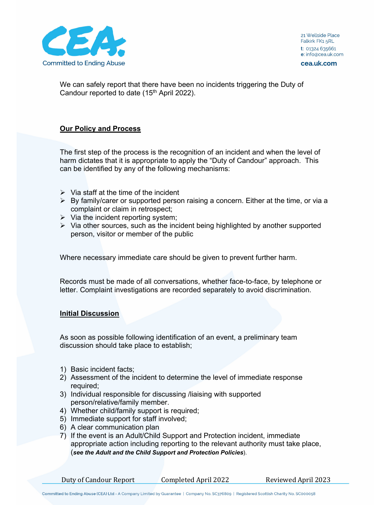

We can safely report that there have been no incidents triggering the Duty of Candour reported to date (15<sup>th</sup> April 2022).

# **Our Policy and Process**

The first step of the process is the recognition of an incident and when the level of harm dictates that it is appropriate to apply the "Duty of Candour" approach. This can be identified by any of the following mechanisms:

- $\triangleright$  Via staff at the time of the incident
- $\triangleright$  By family/carer or supported person raising a concern. Either at the time, or via a complaint or claim in retrospect;
- $\triangleright$  Via the incident reporting system;
- $\triangleright$  Via other sources, such as the incident being highlighted by another supported person, visitor or member of the public

Where necessary immediate care should be given to prevent further harm.

Records must be made of all conversations, whether face-to-face, by telephone or letter. Complaint investigations are recorded separately to avoid discrimination.

## **Initial Discussion**

As soon as possible following identification of an event, a preliminary team discussion should take place to establish;

- 1) Basic incident facts;
- 2) Assessment of the incident to determine the level of immediate response required;
- 3) Individual responsible for discussing /liaising with supported person/relative/family member.
- 4) Whether child/family support is required;
- 5) Immediate support for staff involved;
- 6) A clear communication plan
- 7) If the event is an Adult/Child Support and Protection incident, immediate appropriate action including reporting to the relevant authority must take place, (*see the Adult and the Child Support and Protection Policies*).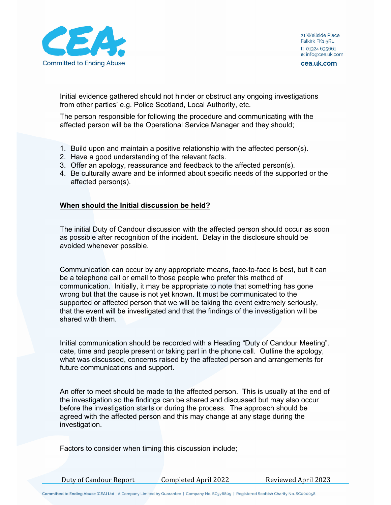

cea.uk.com

Initial evidence gathered should not hinder or obstruct any ongoing investigations from other parties' e.g. Police Scotland, Local Authority, etc.

The person responsible for following the procedure and communicating with the affected person will be the Operational Service Manager and they should;

- 1. Build upon and maintain a positive relationship with the affected person(s).
- 2. Have a good understanding of the relevant facts.
- 3. Offer an apology, reassurance and feedback to the affected person(s).
- 4. Be culturally aware and be informed about specific needs of the supported or the affected person(s).

#### **When should the Initial discussion be held?**

The initial Duty of Candour discussion with the affected person should occur as soon as possible after recognition of the incident. Delay in the disclosure should be avoided whenever possible.

Communication can occur by any appropriate means, face-to-face is best, but it can be a telephone call or email to those people who prefer this method of communication. Initially, it may be appropriate to note that something has gone wrong but that the cause is not yet known. It must be communicated to the supported or affected person that we will be taking the event extremely seriously, that the event will be investigated and that the findings of the investigation will be shared with them.

Initial communication should be recorded with a Heading "Duty of Candour Meeting". date, time and people present or taking part in the phone call. Outline the apology, what was discussed, concerns raised by the affected person and arrangements for future communications and support.

An offer to meet should be made to the affected person. This is usually at the end of the investigation so the findings can be shared and discussed but may also occur before the investigation starts or during the process. The approach should be agreed with the affected person and this may change at any stage during the investigation.

Factors to consider when timing this discussion include;